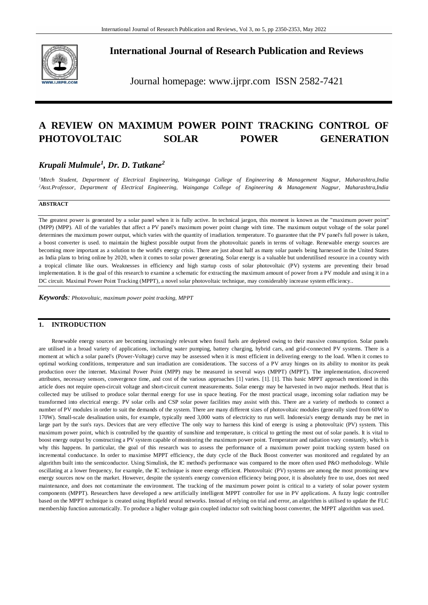

**International Journal of Research Publication and Reviews**

Journal homepage: www.ijrpr.com ISSN 2582-7421

# **A REVIEW ON MAXIMUM POWER POINT TRACKING CONTROL OF PHOTOVOLTAIC SOLAR POWER GENERATION**

# *Krupali Mulmule<sup>1</sup> , Dr. D. Tutkane<sup>2</sup>*

*<sup>1</sup>Mtech Student, Department of Electrical Engineering, Wainganga College of Engineering & Management Nagpur, Maharashtra,India <sup>2</sup>Asst.Professor, Department of Electrical Engineering, Wainganga College of Engineering & Management Nagpur, Maharashtra,India*

### **ABSTRACT**

The greatest power is generated by a solar panel when it is fully active. In technical jargon, this moment is known as the "maximum power point" (MPP) (MPP). All of the variables that affect a PV panel's maximum power point change with time. The maximum output voltage of the solar panel determines the maximum power output, which varies with the quantity of irradiation. temperature. To guarantee that the PV panel's full power is taken, a boost converter is used. to maintain the highest possible output from the photovoltaic panels in terms of voltage. Renewable energy sources are becoming more important as a solution to the world's energy crisis. There are just about half as many solar panels being harnessed in the United States as India plans to bring online by 2020, when it comes to solar power generating. Solar energy is a valuable but underutilised resource in a country with a tropical climate like ours. Weaknesses in efficiency and high startup costs of solar photovoltaic (PV) systems are preventing their broad implementation. It is the goal of this research to examine a schematic for extracting the maximum amount of power from a PV module and using it in a DC circuit. Maximal Power Point Tracking (MPPT), a novel solar photovoltaic technique, may considerably increase system efficiency..

*Keywords: Photovoltaic, maximum power point tracking, MPPT*

## **1. INTRODUCTION**

Renewable energy sources are becoming increasingly relevant when fossil fuels are depleted owing to their massive consumption. Solar panels are utilised in a broad variety of applications, including water pumping, battery charging, hybrid cars, and grid-connected PV systems. There is a moment at which a solar panel's (Power-Voltage) curve may be assessed when it is most efficient in delivering energy to the load. When it comes to optimal working conditions, temperature and sun irradiation are considerations. The success of a PV array hinges on its ability to monitor its peak production over the internet. Maximal Power Point (MPP) may be measured in several ways (MPPT) (MPPT). The implementation, discovered attributes, necessary sensors, convergence time, and cost of the various approaches [1] varies. [1]. [1]. This basic MPPT approach mentioned in this article does not require open-circuit voltage and short-circuit current measurements. Solar energy may be harvested in two major methods. Heat that is collected may be utilised to produce solar thermal energy for use in space heating. For the most practical usage, incoming solar radiation may be transformed into electrical energy. PV solar cells and CSP solar power facilities may assist with this. There are a variety of methods to connect a number of PV modules in order to suit the demands of the system. There are many different sizes of photovoltaic modules (gene rally sized from 60W to 170W). Small-scale desalination units, for example, typically need 3,000 watts of electricity to run well. Indonesia's energy demands may be met in large part by the sun's rays. Devices that are very effective The only way to harness this kind of energy is using a photovoltaic (PV) system. This maximum power point, which is controlled by the quantity of sunshine and temperature, is critical to getting the most out of solar panels. It is vital to boost energy output by constructing a PV system capable of monitoring the maximum power point. Temperature and radiation vary constantly, which is why this happens. In particular, the goal of this research was to assess the performance of a maximum power point tracking system based on incremental conductance. In order to maximise MPPT efficiency, the duty cycle of the Buck Boost converter was monitored and regulated by an algorithm built into the semiconductor. Using Simulink, the IC method's performance was compared to the more often used P&O methodology. While oscillating at a lower frequency, for example, the IC technique is more energy efficient. Photovoltaic (PV) systems are among the most promising new energy sources now on the market. However, despite the system's energy conversion efficiency being poor, it is absolutely free to use, does not need maintenance, and does not contaminate the environment. The tracking of the maximum power point is critical to a variety of solar power system components (MPPT). Researchers have developed a new artificially intelligent MPPT controller for use in PV applications. A fuzzy logic controller based on the MPPT technique is created using Hopfield neural networks. Instead of relying on trial and error, an algorithm is utilised to update the FLC membership function automatically. To produce a higher voltage gain coupled inductor soft switching boost converter, the MPPT algorithm was used.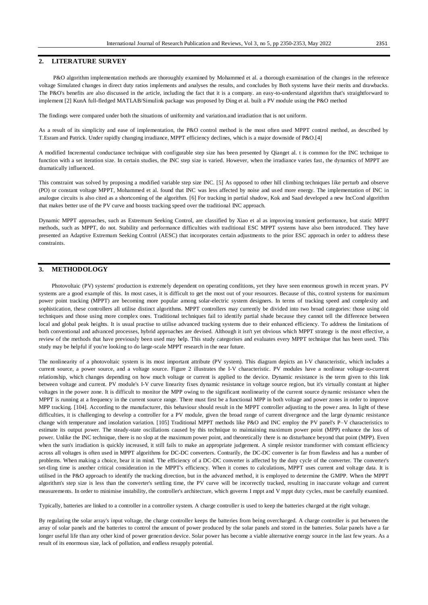# **2. LITERATURE SURVEY**

P&O algorithm implementation methods are thoroughly examined by Mohammed et al. a thorough examination of the changes in the reference voltage Simulated changes in direct duty ratios implements and analyses the results, and concludes by Both systems have their merits and drawbacks. The P&O's benefits are also discussed in the article, including the fact that it is a company. an easy-to-understand algorithm that's straightforward to implement [2] KunA full-fledged MATLAB/Simulink package was proposed by Ding et al. built a PV module using the P&O method

The findings were compared under both the situations of uniformity and variation.and irradiation that is not uniform.

As a result of its simplicity and ease of implementation, the P&O control method is the most often used MPPT control method, as described by T.Esram and Patrick. Under rapidly changing irradiance, MPPT efficiency declines, which is a major downside of P&O.[4]

A modified Incremental conductance technique with configurable step size has been presented by Qianget al. t is common for the INC technique to function with a set iteration size. In certain studies, the INC step size is varied. However, when the irradiance varies fast, the dynamics of MPPT are dramatically influenced.

This constraint was solved by proposing a modified variable step size INC. [5] As opposed to other hill climbing techniques like perturb and observe (PO) or constant voltage MPPT, Mohammed et al. found that INC was less affected by noise and used more energy. The implementation of INC in analogue circuits is also cited as a shortcoming of the algorithm. [6] For tracking in partial shadow, Kok and Saad developed a new IncCond algorithm that makes better use of the PV curve and boosts tracking speed over the traditional INC approach.

Dynamic MPPT approaches, such as Extremum Seeking Control, are classified by Xiao et al as improving transient performance, but static MPPT methods, such as MPPT, do not. Stability and performance difficulties with traditional ESC MPPT systems have also been introduced. They have presented an Adaptive Extremum Seeking Control (AESC) that incorporates certain adjustments to the prior ESC approach in order to address these constraints.

# **3. METHODOLOGY**

Photovoltaic (PV) systems' production is extremely dependent on operating conditions, yet they have seen enormous growth in recent years. PV systems are a good example of this. In most cases, it is difficult to get the most out of your resources. Because of this, co ntrol systems for maximum power point tracking (MPPT) are becoming more popular among solar-electric system designers. In terms of tracking speed and complexity and sophistication, these controllers all utilise distinct algorithms. MPPT controllers may currently be divided into two broad categories: those using old techniques and those using more complex ones. Traditional techniques fail to identify partial shade because they cannot tell the difference between local and global peak heights. It is usual practise to utilise advanced tracking systems due to their enhanced efficiency. To address the limitations of both conventional and advanced processes, hybrid approaches are devised. Although it isn't yet obvious which MPPT strategy is the most effective, a review of the methods that have previously been used may help. This study categorises and evaluates every MPPT technique that has been used. This study may be helpful if you're looking to do large-scale MPPT research in the near future.

The nonlinearity of a photovoltaic system is its most important attribute (PV system). This diagram depicts an I-V characteristic, which includes a current source, a power source, and a voltage source. Figure 2 illustrates the I-V characteristic. PV modules have a nonlinear voltage-to-current relationship, which changes depending on how much voltage or current is applied to the device. Dynamic resistance is the term given to this link between voltage and current. PV module's I-V curve linearity fixes dynamic resistance in voltage source region, but it's virtually constant at higher voltages in the power zone. It is difficult to monitor the MPP owing to the significant nonlinearity of the current source dynamic resistance when the MPPT is running at a frequency in the current source range. There must first be a functional MPP in both voltage and power zones in order to improve MPP tracking. [104]. According to the manufacturer, this behaviour should result in the MPPT controller adjusting to the powe r area. In light of these difficulties, it is challenging to develop a controller for a PV module, given the broad range of current divergence and the large dynamic resistance change with temperature and insolation variation. [105] Traditional MPPT methods like P&O and INC employ the PV panel's P–V characteristics to estimate its output power. The steady-state oscillations caused by this technique to maintaining maximum power point (MPP) enhance the loss of power. Unlike the INC technique, there is no slop at the maximum power point, and theoretically there is no disturbance beyond that point (MPP). Even when the sun's irradiation is quickly increased, it still fails to make an appropriate judgement. A simple resistor transformer with constant efficiency across all voltages is often used in MPPT algorithms for DC-DC converters. Contrarily, the DC-DC converter is far from flawless and has a number of problems. When making a choice, bear it in mind. The efficiency of a DC-DC converter is affected by the duty cycle of the converter. The converter's set-tling time is another critical consideration in the MPPT's efficiency. When it comes to calculations, MPPT uses current and voltage data. It is utilised in the P&O approach to identify the tracking direction, but in the advanced method, it is employed to determine the GMPP. When the MPPT algorithm's step size is less than the converter's settling time, the PV curve will be incorrectly tracked, resulting in inaccurate voltage and current measurements. In order to minimise instability, the controller's architecture, which governs I mppt and V mppt duty cycles, must be carefully examined.

Typically, batteries are linked to a controller in a controller system. A charge controller is used to keep the batteries charged at the right voltage.

By regulating the solar array's input voltage, the charge controller keeps the batteries from being overcharged. A charge controller is put between the array of solar panels and the batteries to control the amount of power produced by the solar panels and stored in the batteries. Solar panels have a far longer useful life than any other kind of power generation device. Solar power has become a viable alternative energy source in the last few years. As a result of its enormous size, lack of pollution, and endless resupply potential.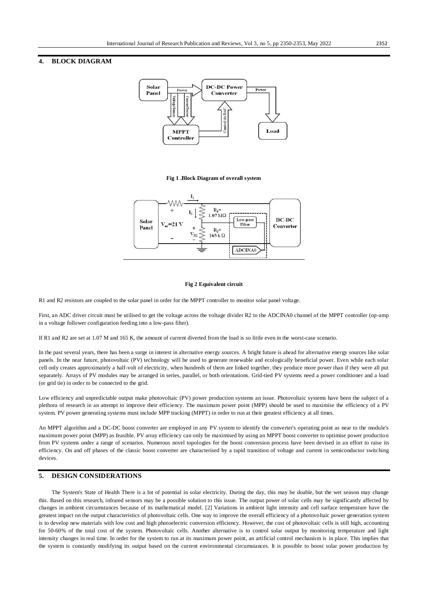# **4. BLOCK DIAGRAM**



#### **Fig 1 .Block Diagram of overall system**



#### **Fig 2 Equivalent circuit**

R1 and R2 resistors are coupled to the solar panel in order for the MPPT controller to monitor solar panel voltage.

First, an ADC driver circuit must be utilised to get the voltage across the voltage divider R2 to the ADCINA0 channel of the MPPT controller (op-amp in a voltage follower configuration feeding into a low-pass filter).

If R1 and R2 are set at 1.07 M and 165 K, the amount of current diverted from the load is so little even in the worst-case scenario.

In the past several years, there has been a surge in interest in alternative energy sources. A bright future is ahead for alternative energy sources like solar panels. In the near future, photovoltaic (PV) technology will be used to generate renewable and ecologically beneficial power. Even while each solar cell only creates approximately a half-volt of electricity, when hundreds of them are linked together, they produce more power than if they were all put separately. Arrays of PV modules may be arranged in series, parallel, or both orientations. Grid-tied PV systems need a power conditioner and a load (or grid tie) in order to be connected to the grid.

Low efficiency and unpredictable output make photovoltaic (PV) power production systems an issue. Photovoltaic systems have been the subject of a plethora of research in an attempt to improve their efficiency. The maximum power point (MPP) should be used to maximise the efficiency of a PV system. PV power generating systems must include MPP tracking (MPPT) in order to run at their greatest efficiency at all times.

An MPPT algorithm and a DC-DC boost converter are employed in any PV system to identify the converter's operating point as near to the module's maximum power point (MPP) as feasible. PV array efficiency can only be maximised by using an MPPT boost converter to optimise power production from PV systems under a range of scenarios. Numerous novel topologies for the boost conversion process have been devised in an effort to raise its efficiency. On and off phases of the classic boost converter are characterised by a rapid transition of voltage and current in semiconductor switching devices.

### **5. DESIGN CONSIDERATIONS**

The System's State of Health There is a lot of potential in solar electricity. During the day, this may be doable, but the wet season may change this. Based on this research, infrared sensors may be a possible solution to this issue. The output power of solar cells may be significantly affected by changes in ambient circumstances because of its mathematical model. [2] Variations in ambient light intensity and cell surface temperature have the greatest impact on the output characteristics of photovoltaic cells. One way to improve the overall efficiency of a photovoltaic power generation system is to develop new materials with low cost and high photoelectric conversion efficiency. However, the cost of photovoltaic cells is still high, accounting for 50-60% of the total cost of the system. Photovoltaic cells. Another alternative is to control solar output by monitoring temperature and light intensity changes in real time. In order for the system to run at its maximum power point, an artificial control mechanism is in place. This implies that the system is constantly modifying its output based on the current environmental circumstances. It is possible to boost solar power production by